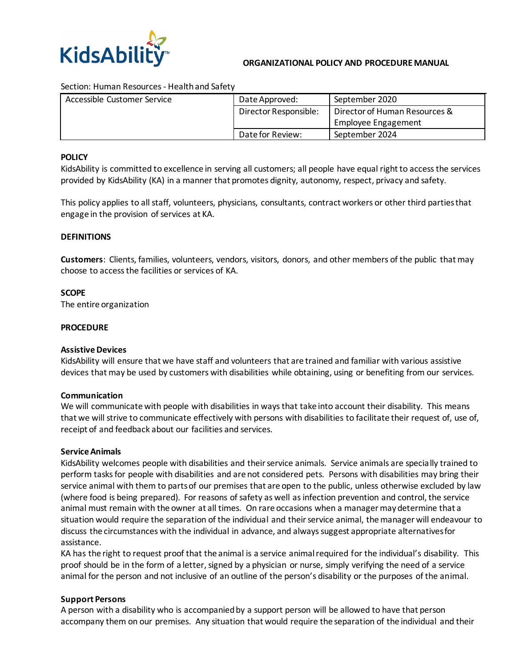

#### **ORGANIZATIONAL POLICY AND PROCEDURE MANUAL**

#### Section: Human Resources - Health and Safety

| Accessible Customer Service | Date Approved:        | September 2020                |
|-----------------------------|-----------------------|-------------------------------|
|                             | Director Responsible: | Director of Human Resources & |
|                             |                       | Employee Engagement           |
|                             | Date for Review:      | September 2024                |

#### **POLICY**

KidsAbility is committed to excellence in serving all customers; all people have equal right to access the services provided by KidsAbility (KA) in a manner that promotes dignity, autonomy, respect, privacy and safety.

This policy applies to all staff, volunteers, physicians, consultants, contract workers or other third parties that engage in the provision of services at KA.

### **DEFINITIONS**

**Customers**: Clients, families, volunteers, vendors, visitors, donors, and other members of the public that may choose to access the facilities or services of KA.

### **SCOPE**

The entire organization

### **PROCEDURE**

#### **Assistive Devices**

KidsAbility will ensure that we have staff and volunteers that are trained and familiar with various assistive devices that may be used by customers with disabilities while obtaining, using or benefiting from our services.

#### **Communication**

We will communicate with people with disabilities in ways that take into account their disability. This means that we will strive to communicate effectively with persons with disabilities to facilitate their request of, use of, receipt of and feedback about our facilities and services.

#### **Service Animals**

KidsAbility welcomes people with disabilities and their service animals. Service animals are specially trained to perform tasks for people with disabilities and are not considered pets. Persons with disabilities may bring their service animal with them to parts of our premises that are open to the public, unless otherwise excluded by law (where food is being prepared). For reasons of safety as well as infection prevention and control, the service animal must remain with the owner at all times. On rare occasions when a manager may determine that a situation would require the separation of the individual and their service animal, the manager will endeavour to discuss the circumstances with the individual in advance, and always suggest appropriate alternatives for assistance.

KA has the right to request proof that the animal is a service animal required for the individual's disability. This proof should be in the form of a letter, signed by a physician or nurse, simply verifying the need of a service animal for the person and not inclusive of an outline of the person's disability or the purposes of the animal.

## **Support Persons**

A person with a disability who is accompanied by a support person will be allowed to have that person accompany them on our premises. Any situation that would require the separation of the individual and their